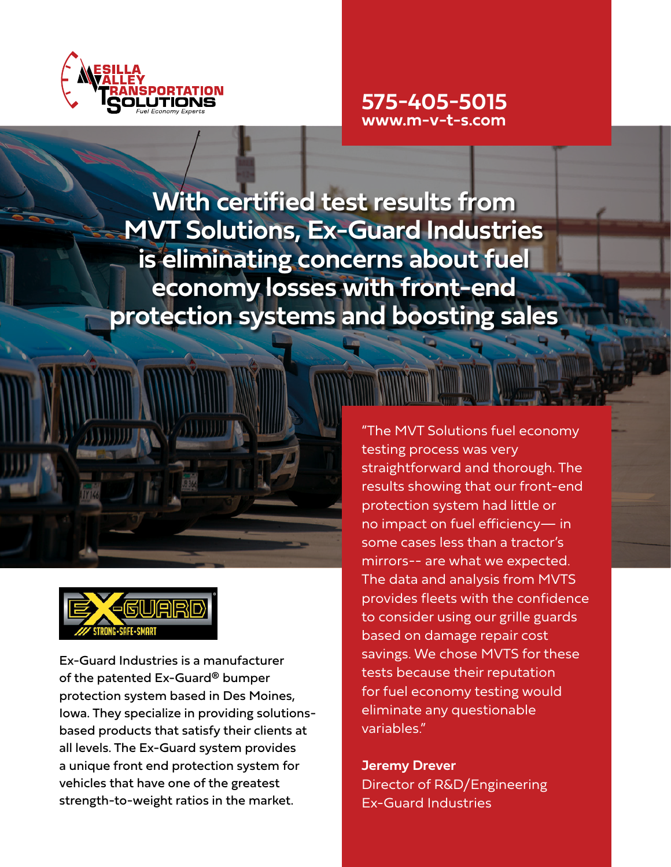

# **575-405-5015 www.m-v-t-s.com**

**With certified test results from MVT Solutions, Ex-Guard Industries is eliminating concerns about fuel economy losses with front-end protection systems and boosting sales**





Ex-Guard Industries is a manufacturer of the patented Ex-Guard® bumper protection system based in Des Moines, Iowa. They specialize in providing solutionsbased products that satisfy their clients at all levels. The Ex-Guard system provides a unique front end protection system for vehicles that have one of the greatest strength-to-weight ratios in the market.

"The MVT Solutions fuel economy testing process was very straightforward and thorough. The results showing that our front-end protection system had little or no impact on fuel efficiency— in some cases less than a tractor's mirrors-- are what we expected. The data and analysis from MVTS provides fleets with the confidence to consider using our grille guards based on damage repair cost savings. We chose MVTS for these tests because their reputation for fuel economy testing would eliminate any questionable variables."

**Jeremy Drever** Director of R&D/Engineering Ex-Guard Industries